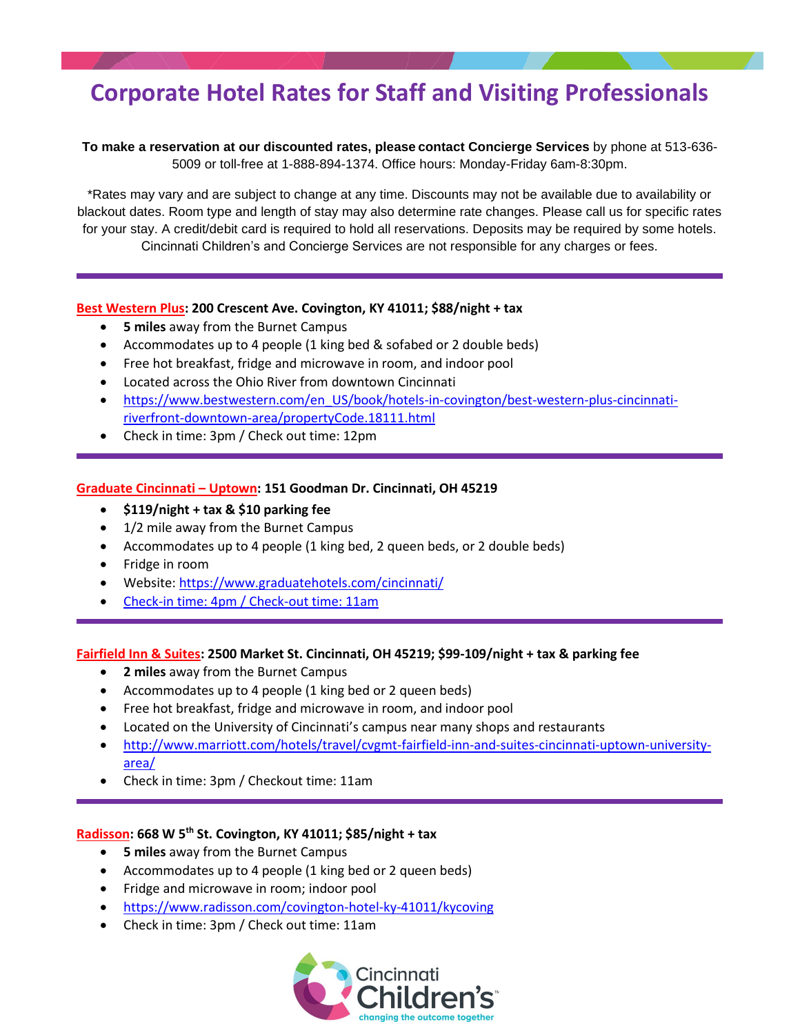# **Corporate Hotel Rates for Staff and Visiting Professionals**

**To make a reservation at our discounted rates, please contact Concierge Services** by phone at 513-636- 5009 or toll-free at 1-888-894-1374. Office hours: Monday-Friday 6am-8:30pm.

\*Rates may vary and are subject to change at any time. Discounts may not be available due to availability or blackout dates. Room type and length of stay may also determine rate changes. Please call us for specific rates for your stay. A credit/debit card is required to hold all reservations. Deposits may be required by some hotels. Cincinnati Children's and Concierge Services are not responsible for any charges or fees.

### **Best Western Plus: 200 Crescent Ave. Covington, KY 41011; \$88/night + tax**

- **5 miles** away from the Burnet Campus
- Accommodates up to 4 people (1 king bed & sofabed or 2 double beds)
- Free hot breakfast, fridge and microwave in room, and indoor pool
- Located across the Ohio River from downtown Cincinnati
- [https://www.bestwestern.com/en\\_US/book/hotels-in-covington/best-western-plus-cincinnati](https://www.bestwestern.com/en_US/book/hotels-in-covington/best-western-plus-cincinnati-riverfront-downtown-area/propertyCode.18111.html)[riverfront-downtown-area/propertyCode.18111.html](https://www.bestwestern.com/en_US/book/hotels-in-covington/best-western-plus-cincinnati-riverfront-downtown-area/propertyCode.18111.html)
- Check in time: 3pm / Check out time: 12pm

### **Graduate Cincinnati – Uptown: 151 Goodman Dr. Cincinnati, OH 45219**

- **\$119/night + tax & \$10 parking fee**
- 1/2 mile away from the Burnet Campus
- Accommodates up to 4 people (1 king bed, 2 queen beds, or 2 double beds)
- Fridge in room
- Website:<https://www.graduatehotels.com/cincinnati/>
- Check-in time: 4pm / Check-out time: 11am

#### **Fairfield Inn & Suites: 2500 Market St. Cincinnati, OH 45219; \$99-109/night + tax & parking fee**

- **2 miles** away from the Burnet Campus
- Accommodates up to 4 people (1 king bed or 2 queen beds)
- Free hot breakfast, fridge and microwave in room, and indoor pool
- Located on the University of Cincinnati's campus near many shops and restaurants
- [http://www.marriott.com/hotels/travel/cvgmt-fairfield-inn-and-suites-cincinnati-uptown-university](http://www.marriott.com/hotels/travel/cvgmt-fairfield-inn-and-suites-cincinnati-uptown-university-area/)[area/](http://www.marriott.com/hotels/travel/cvgmt-fairfield-inn-and-suites-cincinnati-uptown-university-area/)
- Check in time: 3pm / Checkout time: 11am

# **Radisson: 668 W 5th St. Covington, KY 41011; \$85/night + tax**

- **5 miles** away from the Burnet Campus
- Accommodates up to 4 people (1 king bed or 2 queen beds)
- Fridge and microwave in room; indoor pool
- <https://www.radisson.com/covington-hotel-ky-41011/kycoving>
- Check in time: 3pm / Check out time: 11am